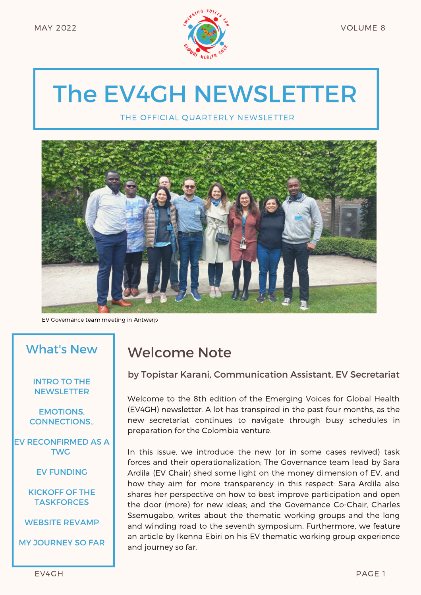

# The EV4GH NEWSLETTER

THE OFFICIAL QUARTERLY NEWSLETTER



EV Governance team meeting in Antwerp

#### What's New

#### INTRO TO THE **NEWSLETTER**

EMOTIONS, CONNECTIONS..

EV RECONFIRMED AS A TWG

EV FUNDING

KICKOFF OF THE **TASKFORCES** 

WEBSITE REVAMP

MY JOURNEY SO FAR

## Welcome Note

#### by Topistar Karani, Communication Assistant, EV Secretariat

Welcome to the 8th edition of the Emerging Voices for Global Health (EV4GH) newsletter. A lot has transpired in the past four months, as the new secretariat continues to navigate through busy schedules in preparation for the Colombia venture.

In this issue, we introduce the new (or in some cases revived) task forces and their operationalization; The Governance team lead by Sara Ardila (EV Chair) shed some light on the money dimension of EV, and how they aim for more transparency in this respect: Sara Ardila also shares her perspective on how to best improve participation and open the door (more) for new ideas; and the Governance Co-Chair, Charles Ssemugabo, writes about the thematic working groups and the long and winding road to the seventh symposium. Furthermore, we feature an article by Ikenna Ebiri on his EV thematic working group experience and journey so far.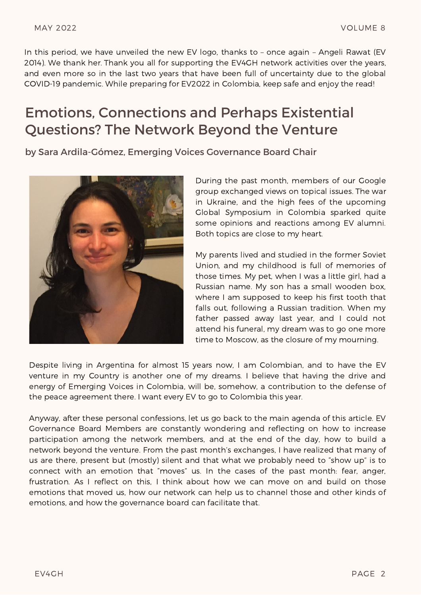In this period, we have unveiled the new EV logo, thanks to – once again – Angeli Rawat (EV 2014). We thank her. Thank you all for supporting the EV4GH network activities over the years, and even more so in the last two years that have been full of uncertainty due to the global COVID-19 pandemic. While preparing for EV2022 in Colombia, keep safe and enjoy the read!

### Emotions, Connections and Perhaps Existential Questions? The Network Beyond the Venture

by Sara Ardila-Gómez, Emerging Voices Governance Board Chair



During the past month, members of our Google group exchanged views on topical issues. The war in Ukraine, and the high fees of the upcoming Global Symposium in Colombia sparked quite some opinions and reactions among EV alumni. Both topics are close to my heart.

My parents lived and studied in the former Soviet Union, and my childhood is full of memories of those times. My pet, when I was a little girl, had a Russian name. My son has a small wooden box, where I am supposed to keep his first tooth that falls out, following a Russian tradition. When my father passed away last year, and I could not attend his funeral, my dream was to go one more time to Moscow, as the closure of my mourning.

Despite living in Argentina for almost 15 years now, I am Colombian, and to have the EV venture in my Country is another one of my dreams. I believe that having the drive and energy of Emerging Voices in Colombia, will be, somehow, a contribution to the defense of the peace agreement there. I want every EV to go to Colombia this year.

Anyway, after these personal confessions, let us go back to the main agenda of this article. EV Governance Board Members are constantly wondering and reflecting on how to increase participation among the network members, and at the end of the day, how to build a network beyond the venture. From the past month's exchanges, I have realized that many of us are there, present but (mostly) silent and that what we probably need to "show up" is to connect with an emotion that "moves" us. In the cases of the past month: fear, anger, frustration. As I reflect on this, I think about how we can move on and build on those emotions that moved us, how our network can help us to channel those and other kinds of emotions, and how the governance board can facilitate that.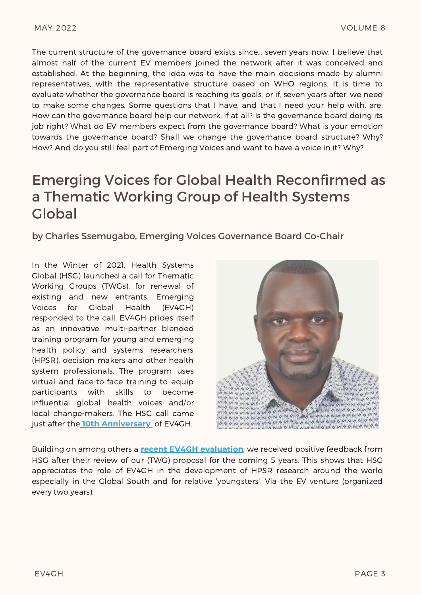The current structure of the governance board exists since… seven years now. I believe that almost half of the current EV members joined the network after it was conceived and established. At the beginning, the idea was to have the main decisions made by alumni representatives, with the representative structure based on WHO regions. It is time to evaluate whether the governance board is reaching its goals, or if, seven years after, we need to make some changes. Some questions that I have, and that I need your help with, are: How can the governance board help our network, if at all? Is the governance board doing its job right? What do EV members expect from the governance board? What is your emotion towards the governance board? Shall we change the governance board structure? Why? How? And do you still feel part of Emerging Voices and want to have a voice in it? Why?

#### Emerging Voices for Global Health Reconfirmed as a Thematic Working Group of Health Systems Global

by Charles Ssemugabo, Emerging Voices Governance Board Co-Chair

In the Winter of 2021, Health Systems Global (HSG) launched a call for Thematic Working Groups (TWGs), for renewal of existing and new entrants. Emerging Voices for Global Health (EV4GH) responded to the call. EV4GH prides itself as an innovative multi-partner blended training program for young and emerging health policy and systems researchers (HPSR), decision makers and other health system professionals. The program uses virtual and face-to-face training to equip participants with skills to become influential global health voices and/or local change-makers. The HSG call came just after the **10th [Anniversary](http://www.ev4gh.net/wp-content/uploads/2020/10/EV-2020-magazine.pdf)** of EV4GH.



Building on among others a **recent EV4GH [evaluation](http://www.ev4gh.net/wp-content/uploads/2021/05/EV4GH-Evaluation-Exec-Summary.pdf)**, we received positive feedback from HSG after their review of our (TWG) proposal for the coming 5 years. This shows that HSG appreciates the role of EV4GH in the development of HPSR research around the world especially in the Global South and for relative 'youngsters'. Via the EV venture (organized every two years),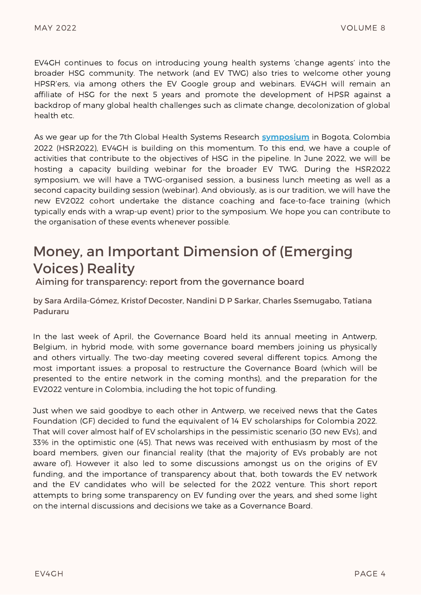EV4GH continues to focus on introducing young health systems 'change agents' into the broader HSG community. The network (and EV TWG) also tries to welcome other young HPSR'ers, via among others the EV Google group and webinars. EV4GH will remain an affiliate of HSG for the next 5 years and promote the development of HPSR against a backdrop of many global health challenges such as climate change, decolonization of global health etc.

As we gear up for the 7th Global Health Systems Research **[symposium](https://healthsystemsresearch.org/hsr2022/)** in Bogota, Colombia 2022 (HSR2022), EV4GH is building on this momentum. To this end, we have a couple of activities that contribute to the objectives of HSG in the pipeline. In June 2022, we will be hosting a capacity building webinar for the broader EV TWG. During the HSR2022 symposium, we will have a TWG-organised session, a business lunch meeting as well as a second capacity building session (webinar). And obviously, as is our tradition, we will have the new EV2022 cohort undertake the distance coaching and face-to-face training (which typically ends with a wrap-up event) prior to the symposium. We hope you can contribute to the organisation of these events whenever possible.

### Money, an Important Dimension of (Emerging Voices) Reality

Aiming for transparency: report from the governance board

by Sara Ardila-Gómez, Kristof Decoster, Nandini D P Sarkar, Charles Ssemugabo, Tatiana Paduraru

In the last week of April, the Governance Board held its annual meeting in Antwerp, Belgium, in hybrid mode, with some governance board members joining us physically and others virtually. The two-day meeting covered several different topics. Among the most important issues: a proposal to restructure the Governance Board (which will be presented to the entire network in the coming months), and the preparation for the EV2022 venture in Colombia, including the hot topic of funding.

Just when we said goodbye to each other in Antwerp, we received news that the Gates Foundation (GF) decided to fund the equivalent of 14 EV scholarships for Colombia 2022. That will cover almost half of EV scholarships in the pessimistic scenario (30 new EVs), and 33% in the optimistic one (45). That news was received with enthusiasm by most of the board members, given our financial reality (that the majority of EVs probably are not aware of). However it also led to some discussions amongst us on the origins of EV funding, and the importance of transparency about that, both towards the EV network and the EV candidates who will be selected for the 2022 venture. This short report attempts to bring some transparency on EV funding over the years, and shed some light on the internal discussions and decisions we take as a Governance Board.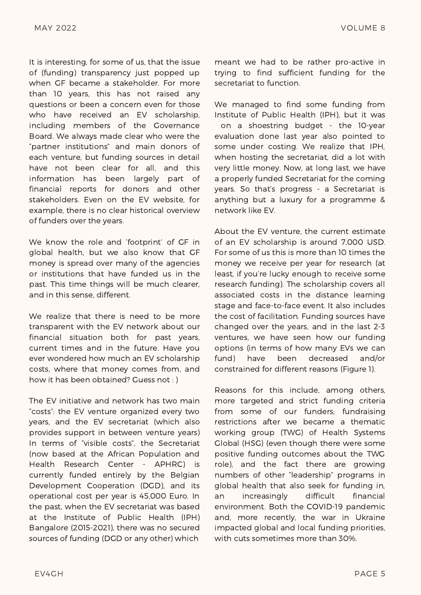It is interesting, for some of us, that the issue of (funding) transparency just popped up when GF became a stakeholder. For more than 10 years, this has not raised any questions or been a concern even for those who have received an EV scholarship, including members of the Governance Board. We always made clear who were the "partner institutions" and main donors of each venture, but funding sources in detail have not been clear for all, and this information has been largely part of financial reports for donors and other stakeholders. Even on the EV website, for example, there is no clear historical overview of funders over the years.

We know the role and 'footprint' of GF in global health, but we also know that GF money is spread over many of the agencies or institutions that have funded us in the past. This time things will be much clearer, and in this sense, different.

We realize that there is need to be more transparent with the EV network about our financial situation both for past years, current times and in the future. Have you ever wondered how much an EV scholarship costs, where that money comes from, and how it has been obtained? Guess not : )

The EV initiative and network has two main "costs": the EV venture organized every two years, and the EV secretariat (which also provides support in between venture years) In terms of "visible costs", the Secretariat (now based at the African Population and Health Research Center - APHRC) is currently funded entirely by the Belgian Development Cooperation (DGD), and its operational cost per year is 45,000 Euro. In the past, when the EV secretariat was based at the Institute of Public Health (IPH) Bangalore (2015-2021), there was no secured sources of funding (DGD or any other) which

meant we had to be rather pro-active in trying to find sufficient funding for the secretariat to function.

We managed to find some funding from Institute of Public Health (IPH), but it was on a shoestring budget - the 10-year evaluation done last year also pointed to some under costing. We realize that IPH, when hosting the secretariat, did a lot with very little money. Now, at long last, we have a properly funded Secretariat for the coming years. So that's progress - a Secretariat is anything but a luxury for a programme & network like EV.

About the EV venture, the current estimate of an EV scholarship is around 7,000 USD. For some of us this is more than 10 times the money we receive per year for research (at least, if you're lucky enough to receive some research funding). The scholarship covers all associated costs in the distance learning stage and face-to-face event. It also includes the cost of facilitation. Funding sources have changed over the years, and in the last 2-3 ventures, we have seen how our funding options (in terms of how many EVs we can fund) have been decreased and/or constrained for different reasons (Figure 1).

Reasons for this include, among others, more targeted and strict funding criteria from some of our funders; fundraising restrictions after we became a thematic working group (TWG) of Health Systems Global (HSG) (even though there were some positive funding outcomes about the TWG role), and the fact there are growing numbers of other "leadership" programs in global health that also seek for funding in, an increasingly difficult financial environment. Both the COVID-19 pandemic and, more recently, the war in Ukraine impacted global and local funding priorities, with cuts sometimes more than 30%.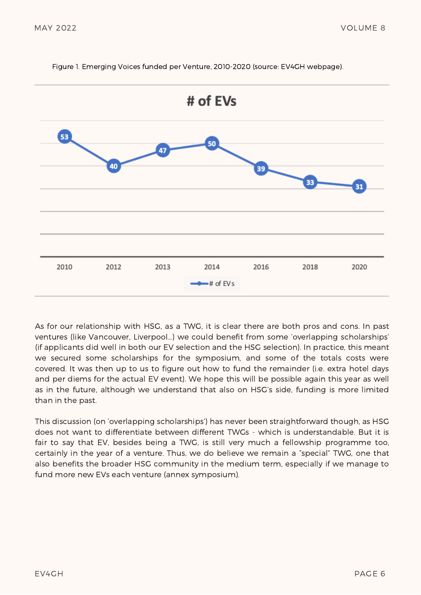

Figure 1. Emerging Voices funded per Venture, 2010-2020 (source: EV4GH webpage).

As for our relationship with HSG, as a TWG, it is clear there are both pros and cons. In past ventures (like Vancouver, Liverpool…) we could benefit from some 'overlapping scholarships' (if applicants did well in both our EV selection and the HSG selection). In practice, this meant we secured some scholarships for the symposium, and some of the totals costs were covered. It was then up to us to figure out how to fund the remainder (i.e. extra hotel days and per diems for the actual EV event). We hope this will be possible again this year as well as in the future, although we understand that also on HSG's side, funding is more limited than in the past.

This discussion (on 'overlapping scholarships') has never been straightforward though, as HSG does not want to differentiate between different TWGs - which is understandable. But it is fair to say that EV, besides being a TWG, is still very much a fellowship programme too, certainly in the year of a venture. Thus, we do believe we remain a "special" TWG, one that also benefits the broader HSG community in the medium term, especially if we manage to fund more new EVs each venture (annex symposium).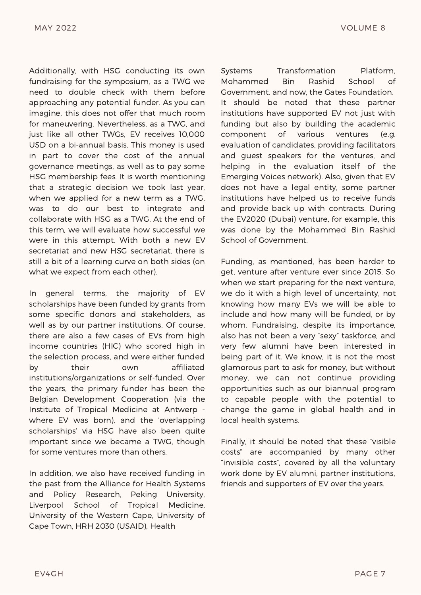Additionally, with HSG conducting its own fundraising for the symposium, as a TWG we need to double check with them before approaching any potential funder. As you can imagine, this does not offer that much room for maneuvering. Nevertheless, as a TWG, and just like all other TWGs, EV receives 10,000 USD on a bi-annual basis. This money is used in part to cover the cost of the annual governance meetings, as well as to pay some HSG membership fees. It is worth mentioning that a strategic decision we took last year, when we applied for a new term as a TWG, was to do our best to integrate and collaborate with HSG as a TWG. At the end of this term, we will evaluate how successful we were in this attempt. With both a new EV secretariat and new HSG secretariat, there is still a bit of a learning curve on both sides (on what we expect from each other).

In general terms, the majority of EV scholarships have been funded by grants from some specific donors and stakeholders, as well as by our partner institutions. Of course, there are also a few cases of EVs from high income countries (HIC) who scored high in the selection process, and were either funded by their own affiliated institutions/organizations or self-funded. Over the years, the primary funder has been the Belgian Development Cooperation (via the Institute of Tropical Medicine at Antwerp where EV was born), and the 'overlapping scholarships' via HSG have also been quite important since we became a TWG, though for some ventures more than others.

In addition, we also have received funding in the past from the Alliance for Health Systems and Policy Research, Peking University, Liverpool School of Tropical Medicine, University of the Western Cape, University of Cape Town, HRH 2030 (USAID), Health

Systems Transformation Platform, Mohammed Bin Rashid School of Government, and now, the Gates Foundation. It should be noted that these partner institutions have supported EV not just with funding but also by building the academic component of various ventures (e.g. evaluation of candidates, providing facilitators and guest speakers for the ventures, and helping in the evaluation itself of the Emerging Voices network). Also, given that EV does not have a legal entity, some partner institutions have helped us to receive funds and provide back up with contracts. During the EV2020 (Dubai) venture, for example, this was done by the Mohammed Bin Rashid School of Government.

Funding, as mentioned, has been harder to get, venture after venture ever since 2015. So when we start preparing for the next venture, we do it with a high level of uncertainty, not knowing how many EVs we will be able to include and how many will be funded, or by whom. Fundraising, despite its importance, also has not been a very "sexy" taskforce, and very few alumni have been interested in being part of it. We know, it is not the most glamorous part to ask for money, but without money, we can not continue providing opportunities such as our biannual program to capable people with the potential to change the game in global health and in local health systems.

Finally, it should be noted that these "visible costs" are accompanied by many other "invisible costs", covered by all the voluntary work done by EV alumni, partner institutions, friends and supporters of EV over the years.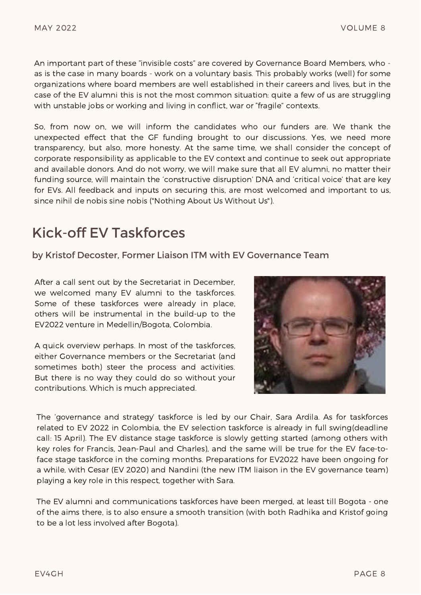An important part of these "invisible costs" are covered by Governance Board Members, who as is the case in many boards - work on a voluntary basis. This probably works (well) for some organizations where board members are well established in their careers and lives, but in the case of the EV alumni this is not the most common situation: quite a few of us are struggling with unstable jobs or working and living in conflict, war or "fragile" contexts.

So, from now on, we will inform the candidates who our funders are. We thank the unexpected effect that the GF funding brought to our discussions. Yes, we need more transparency, but also, more honesty. At the same time, we shall consider the concept of corporate responsibility as applicable to the EV context and continue to seek out appropriate and available donors. And do not worry, we will make sure that all EV alumni, no matter their funding source, will maintain the 'constructive disruption' DNA and 'critical voice' that are key for EVs. All feedback and inputs on securing this, are most welcomed and important to us, since nihil de nobis sine nobis ("Nothing About Us Without Us").

### Kick-off EV Taskforces

by Kristof Decoster, Former Liaison ITM with EV Governance Team

After a call sent out by the Secretariat in December, we welcomed many EV alumni to the taskforces. Some of these taskforces were already in place, others will be instrumental in the build-up to the EV2022 venture in Medellin/Bogota, Colombia.

A quick overview perhaps. In most of the taskforces, either Governance members or the Secretariat (and sometimes both) steer the process and activities. But there is no way they could do so without your contributions. Which is much appreciated.



The 'governance and strategy' taskforce is led by our Chair, Sara Ardila. As for taskforces related to EV 2022 in Colombia, the EV selection taskforce is already in full swing(deadline call: 15 April). The EV distance stage taskforce is slowly getting started (among others with key roles for Francis, Jean-Paul and Charles), and the same will be true for the EV face-toface stage taskforce in the coming months. Preparations for EV2022 have been ongoing for a while, with Cesar (EV 2020) and Nandini (the new ITM liaison in the EV governance team) playing a key role in this respect, together with Sara.

The EV alumni and communications taskforces have been merged, at least till Bogota - one of the aims there, is to also ensure a smooth transition (with both Radhika and Kristof going to be a lot less involved after Bogota).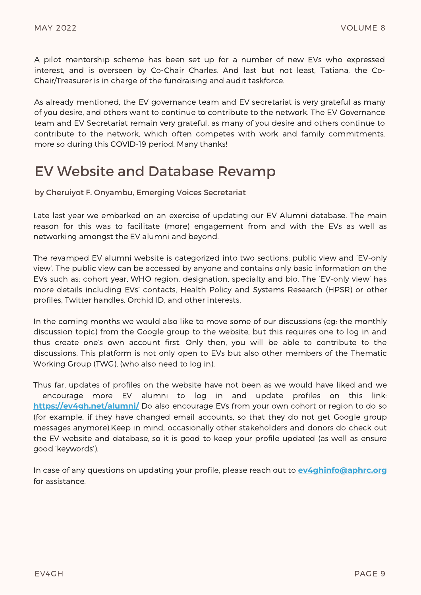A pilot mentorship scheme has been set up for a number of new EVs who expressed interest, and is overseen by Co-Chair Charles. And last but not least, Tatiana, the Co-Chair/Treasurer is in charge of the fundraising and audit taskforce.

As already mentioned, the EV governance team and EV secretariat is very grateful as many of you desire, and others want to continue to contribute to the network. The EV Governance team and EV Secretariat remain very grateful, as many of you desire and others continue to contribute to the network, which often competes with work and family commitments, more so during this COVID-19 period. Many thanks!

#### EV Website and Database Revamp

by Cheruiyot F. Onyambu, Emerging Voices Secretariat

Late last year we embarked on an exercise of updating our EV Alumni database. The main reason for this was to facilitate (more) engagement from and with the EVs as well as networking amongst the EV alumni and beyond.

The revamped EV alumni website is categorized into two sections: public view and 'EV-only view'. The public view can be accessed by anyone and contains only basic information on the EVs such as: cohort year, WHO region, designation, specialty and bio. The 'EV-only view' has more details including EVs' contacts, Health Policy and Systems Research (HPSR) or other profiles, Twitter handles, Orchid ID, and other interests.

In the coming months we would also like to move some of our discussions (eg: the monthly discussion topic) from the Google group to the website, but this requires one to log in and thus create one's own account first. Only then, you will be able to contribute to the discussions. This platform is not only open to EVs but also other members of the Thematic Working Group (TWG), (who also need to log in).

Thus far, updates of profiles on the website have not been as we would have liked and we encourage more EV alumni to log in and update profiles on this link: **<https://ev4gh.net/alumni/>** Do also encourage EVs from your own cohort or region to do so (for example, if they have changed email accounts, so that they do not get Google group messages anymore).Keep in mind, occasionally other stakeholders and donors do check out the EV website and database, so it is good to keep your profile updated (as well as ensure good 'keywords').

In case of any questions on updating your profile, please reach out to **[ev4ghinfo@aphrc.org](mailto:ev4ghinfo@aphrc.org)** for assistance.